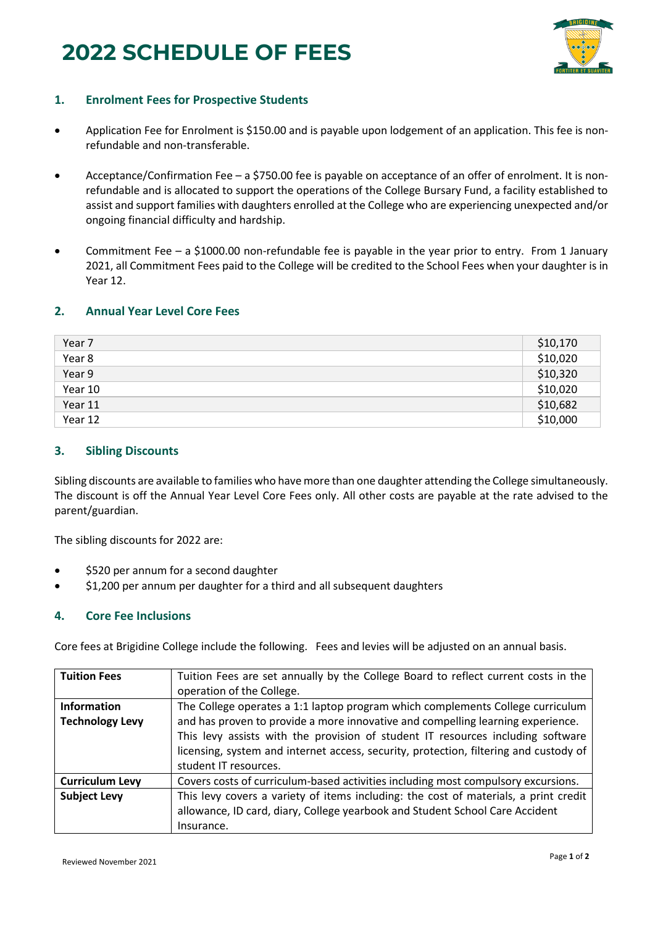# **2022 SCHEDULE OF FEES**



## **1. Enrolment Fees for Prospective Students**

- Application Fee for Enrolment is \$150.00 and is payable upon lodgement of an application. This fee is nonrefundable and non-transferable.
- Acceptance/Confirmation Fee a \$750.00 fee is payable on acceptance of an offer of enrolment. It is nonrefundable and is allocated to support the operations of the College Bursary Fund, a facility established to assist and support families with daughters enrolled at the College who are experiencing unexpected and/or ongoing financial difficulty and hardship.
- Commitment Fee a \$1000.00 non-refundable fee is payable in the year prior to entry. From 1 January 2021, all Commitment Fees paid to the College will be credited to the School Fees when your daughter is in Year 12.

#### **2. Annual Year Level Core Fees**

| Year 7  | \$10,170 |
|---------|----------|
| Year 8  | \$10,020 |
| Year 9  | \$10,320 |
| Year 10 | \$10,020 |
| Year 11 | \$10,682 |
| Year 12 | \$10,000 |

#### **3. Sibling Discounts**

Sibling discounts are available to families who have more than one daughter attending the College simultaneously. The discount is off the Annual Year Level Core Fees only. All other costs are payable at the rate advised to the parent/guardian.

The sibling discounts for 2022 are:

- \$520 per annum for a second daughter
- \$1,200 per annum per daughter for a third and all subsequent daughters

### **4. Core Fee Inclusions**

Core fees at Brigidine College include the following. Fees and levies will be adjusted on an annual basis.

| <b>Tuition Fees</b>    | Tuition Fees are set annually by the College Board to reflect current costs in the    |
|------------------------|---------------------------------------------------------------------------------------|
|                        | operation of the College.                                                             |
| <b>Information</b>     | The College operates a 1:1 laptop program which complements College curriculum        |
| <b>Technology Levy</b> | and has proven to provide a more innovative and compelling learning experience.       |
|                        | This levy assists with the provision of student IT resources including software       |
|                        | licensing, system and internet access, security, protection, filtering and custody of |
|                        | student IT resources.                                                                 |
| <b>Curriculum Levy</b> | Covers costs of curriculum-based activities including most compulsory excursions.     |
| <b>Subject Levy</b>    | This levy covers a variety of items including: the cost of materials, a print credit  |
|                        | allowance, ID card, diary, College yearbook and Student School Care Accident          |
|                        | Insurance.                                                                            |